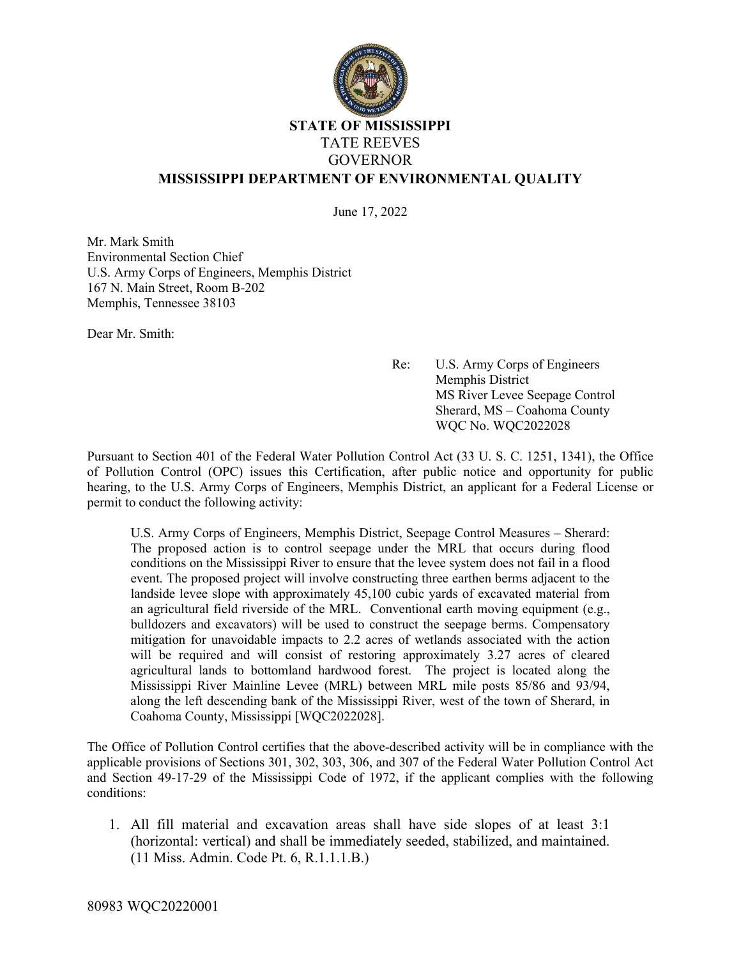

## **STATE OF MISSISSIPPI** TATE REEVES GOVERNOR **MISSISSIPPI DEPARTMENT OF ENVIRONMENTAL QUALITY**

June 17, 2022

Mr. Mark Smith Environmental Section Chief U.S. Army Corps of Engineers, Memphis District 167 N. Main Street, Room B-202 Memphis, Tennessee 38103

Dear Mr. Smith:

Re: U.S. Army Corps of Engineers Memphis District MS River Levee Seepage Control Sherard, MS – Coahoma County WQC No. WQC2022028

Pursuant to Section 401 of the Federal Water Pollution Control Act (33 U. S. C. 1251, 1341), the Office of Pollution Control (OPC) issues this Certification, after public notice and opportunity for public hearing, to the U.S. Army Corps of Engineers, Memphis District, an applicant for a Federal License or permit to conduct the following activity:

U.S. Army Corps of Engineers, Memphis District, Seepage Control Measures – Sherard: The proposed action is to control seepage under the MRL that occurs during flood conditions on the Mississippi River to ensure that the levee system does not fail in a flood event. The proposed project will involve constructing three earthen berms adjacent to the landside levee slope with approximately 45,100 cubic yards of excavated material from an agricultural field riverside of the MRL. Conventional earth moving equipment (e.g., bulldozers and excavators) will be used to construct the seepage berms. Compensatory mitigation for unavoidable impacts to 2.2 acres of wetlands associated with the action will be required and will consist of restoring approximately 3.27 acres of cleared agricultural lands to bottomland hardwood forest. The project is located along the Mississippi River Mainline Levee (MRL) between MRL mile posts 85/86 and 93/94, along the left descending bank of the Mississippi River, west of the town of Sherard, in Coahoma County, Mississippi [WQC2022028].

The Office of Pollution Control certifies that the above-described activity will be in compliance with the applicable provisions of Sections 301, 302, 303, 306, and 307 of the Federal Water Pollution Control Act and Section 49-17-29 of the Mississippi Code of 1972, if the applicant complies with the following conditions:

1. All fill material and excavation areas shall have side slopes of at least 3:1 (horizontal: vertical) and shall be immediately seeded, stabilized, and maintained. (11 Miss. Admin. Code Pt. 6, R.1.1.1.B.)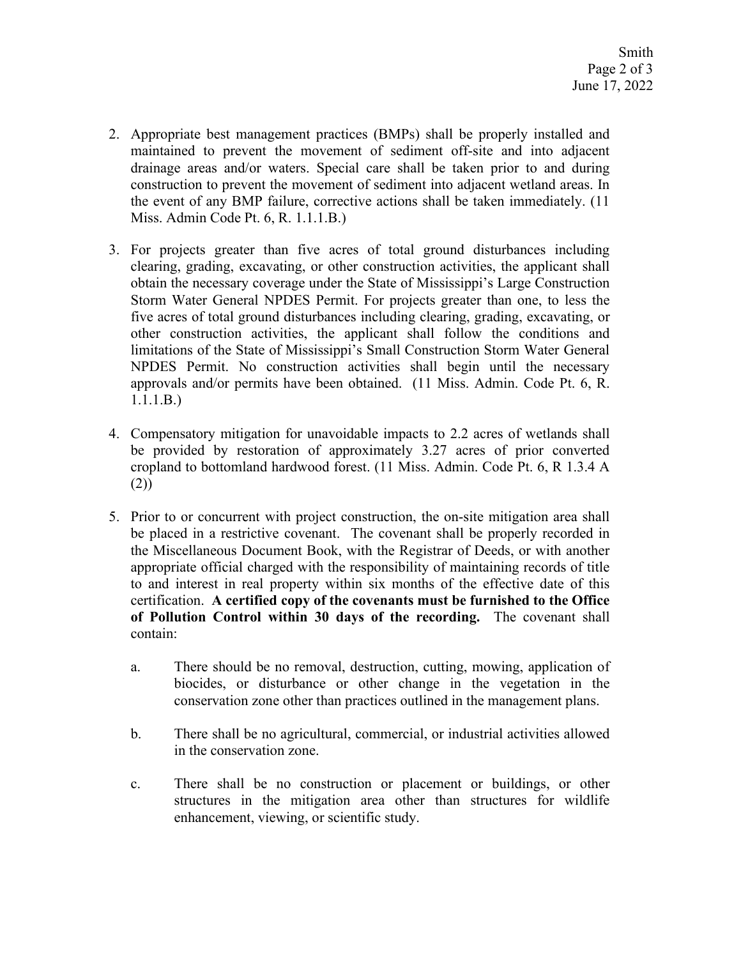- 2. Appropriate best management practices (BMPs) shall be properly installed and maintained to prevent the movement of sediment off-site and into adjacent drainage areas and/or waters. Special care shall be taken prior to and during construction to prevent the movement of sediment into adjacent wetland areas. In the event of any BMP failure, corrective actions shall be taken immediately. (11 Miss. Admin Code Pt. 6, R. 1.1.1.B.)
- 3. For projects greater than five acres of total ground disturbances including clearing, grading, excavating, or other construction activities, the applicant shall obtain the necessary coverage under the State of Mississippi's Large Construction Storm Water General NPDES Permit. For projects greater than one, to less the five acres of total ground disturbances including clearing, grading, excavating, or other construction activities, the applicant shall follow the conditions and limitations of the State of Mississippi's Small Construction Storm Water General NPDES Permit. No construction activities shall begin until the necessary approvals and/or permits have been obtained. (11 Miss. Admin. Code Pt. 6, R. 1.1.1.B.)
- 4. Compensatory mitigation for unavoidable impacts to 2.2 acres of wetlands shall be provided by restoration of approximately 3.27 acres of prior converted cropland to bottomland hardwood forest. (11 Miss. Admin. Code Pt. 6, R 1.3.4 A (2))
- 5. Prior to or concurrent with project construction, the on-site mitigation area shall be placed in a restrictive covenant. The covenant shall be properly recorded in the Miscellaneous Document Book, with the Registrar of Deeds, or with another appropriate official charged with the responsibility of maintaining records of title to and interest in real property within six months of the effective date of this certification. **A certified copy of the covenants must be furnished to the Office of Pollution Control within 30 days of the recording.** The covenant shall contain:
	- a. There should be no removal, destruction, cutting, mowing, application of biocides, or disturbance or other change in the vegetation in the conservation zone other than practices outlined in the management plans.
	- b. There shall be no agricultural, commercial, or industrial activities allowed in the conservation zone.
	- c. There shall be no construction or placement or buildings, or other structures in the mitigation area other than structures for wildlife enhancement, viewing, or scientific study.